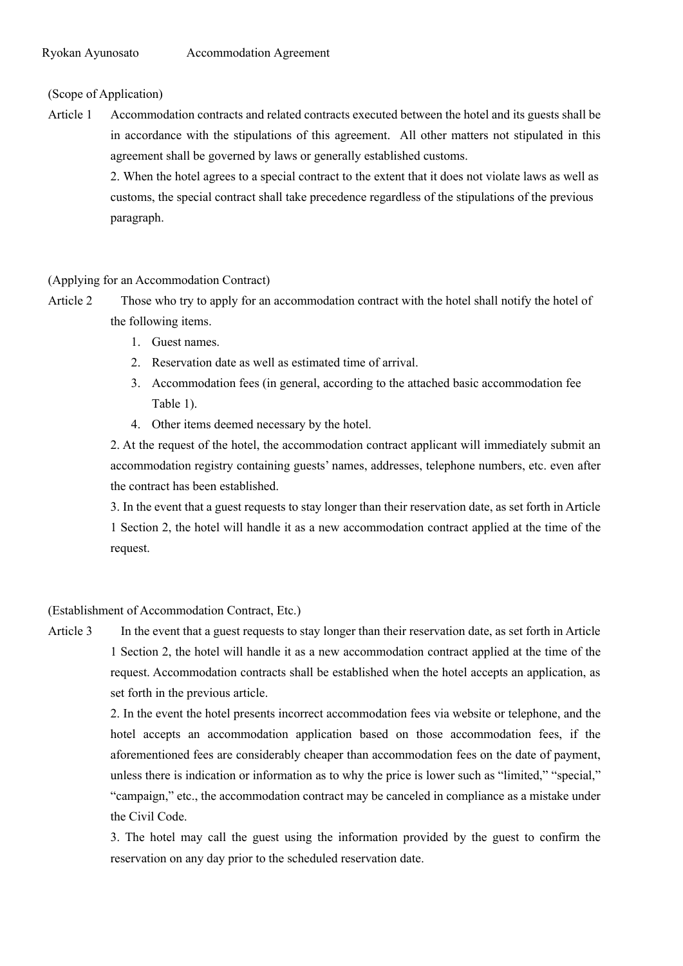# (Scope of Application)

Article 1 Accommodation contracts and related contracts executed between the hotel and its guests shall be in accordance with the stipulations of this agreement. All other matters not stipulated in this agreement shall be governed by laws or generally established customs.

> 2. When the hotel agrees to a special contract to the extent that it does not violate laws as well as customs, the special contract shall take precedence regardless of the stipulations of the previous paragraph.

# (Applying for an Accommodation Contract)

- Article 2 Those who try to apply for an accommodation contract with the hotel shall notify the hotel of the following items.
	- 1. Guest names.
	- 2. Reservation date as well as estimated time of arrival.
	- 3. Accommodation fees (in general, according to the attached basic accommodation fee Table 1).
	- 4. Other items deemed necessary by the hotel.

2. At the request of the hotel, the accommodation contract applicant will immediately submit an accommodation registry containing guests' names, addresses, telephone numbers, etc. even after the contract has been established.

3. In the event that a guest requests to stay longer than their reservation date, as set forth in Article 1 Section 2, the hotel will handle it as a new accommodation contract applied at the time of the request.

## (Establishment of Accommodation Contract, Etc.)

Article 3 In the event that a guest requests to stay longer than their reservation date, as set forth in Article 1 Section 2, the hotel will handle it as a new accommodation contract applied at the time of the request. Accommodation contracts shall be established when the hotel accepts an application, as set forth in the previous article.

> 2. In the event the hotel presents incorrect accommodation fees via website or telephone, and the hotel accepts an accommodation application based on those accommodation fees, if the aforementioned fees are considerably cheaper than accommodation fees on the date of payment, unless there is indication or information as to why the price is lower such as "limited," "special," "campaign," etc., the accommodation contract may be canceled in compliance as a mistake under the Civil Code.

> 3. The hotel may call the guest using the information provided by the guest to confirm the reservation on any day prior to the scheduled reservation date.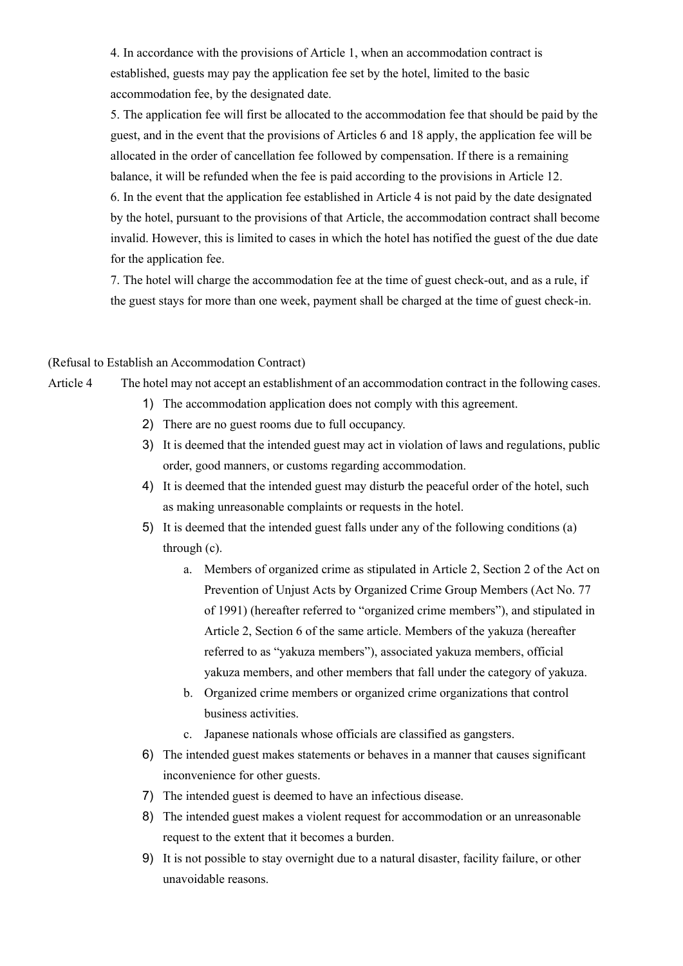4. In accordance with the provisions of Article 1, when an accommodation contract is established, guests may pay the application fee set by the hotel, limited to the basic accommodation fee, by the designated date.

5. The application fee will first be allocated to the accommodation fee that should be paid by the guest, and in the event that the provisions of Articles 6 and 18 apply, the application fee will be allocated in the order of cancellation fee followed by compensation. If there is a remaining balance, it will be refunded when the fee is paid according to the provisions in Article 12.

6. In the event that the application fee established in Article 4 is not paid by the date designated by the hotel, pursuant to the provisions of that Article, the accommodation contract shall become invalid. However, this is limited to cases in which the hotel has notified the guest of the due date for the application fee.

7. The hotel will charge the accommodation fee at the time of guest check-out, and as a rule, if the guest stays for more than one week, payment shall be charged at the time of guest check-in.

### (Refusal to Establish an Accommodation Contract)

- Article 4 The hotel may not accept an establishment of an accommodation contract in the following cases.
	- 1) The accommodation application does not comply with this agreement.
	- 2) There are no guest rooms due to full occupancy.
	- 3) It is deemed that the intended guest may act in violation of laws and regulations, public order, good manners, or customs regarding accommodation.
	- 4) It is deemed that the intended guest may disturb the peaceful order of the hotel, such as making unreasonable complaints or requests in the hotel.
	- 5) It is deemed that the intended guest falls under any of the following conditions (a) through (c).
		- a. Members of organized crime as stipulated in Article 2, Section 2 of the Act on Prevention of Unjust Acts by Organized Crime Group Members (Act No. 77 of 1991) (hereafter referred to "organized crime members"), and stipulated in Article 2, Section 6 of the same article. Members of the yakuza (hereafter referred to as "yakuza members"), associated yakuza members, official yakuza members, and other members that fall under the category of yakuza.
		- b. Organized crime members or organized crime organizations that control business activities.
		- c. Japanese nationals whose officials are classified as gangsters.
	- 6) The intended guest makes statements or behaves in a manner that causes significant inconvenience for other guests.
	- 7) The intended guest is deemed to have an infectious disease.
	- 8) The intended guest makes a violent request for accommodation or an unreasonable request to the extent that it becomes a burden.
	- 9) It is not possible to stay overnight due to a natural disaster, facility failure, or other unavoidable reasons.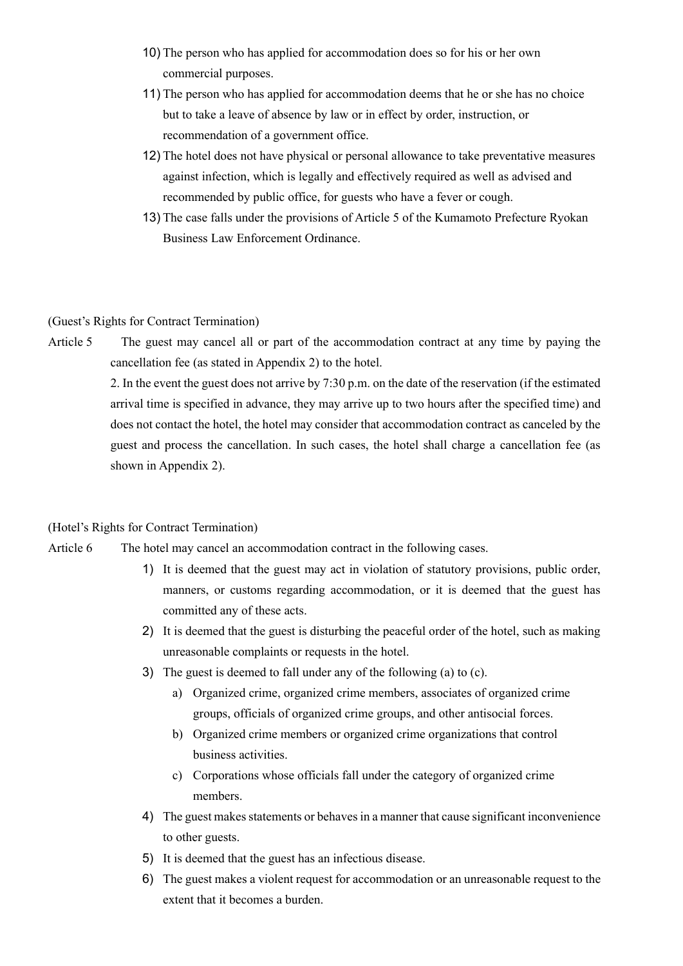- 10) The person who has applied for accommodation does so for his or her own commercial purposes.
- 11) The person who has applied for accommodation deems that he or she has no choice but to take a leave of absence by law or in effect by order, instruction, or recommendation of a government office.
- 12) The hotel does not have physical or personal allowance to take preventative measures against infection, which is legally and effectively required as well as advised and recommended by public office, for guests who have a fever or cough.
- 13) The case falls under the provisions of Article 5 of the Kumamoto Prefecture Ryokan Business Law Enforcement Ordinance.

### (Guest's Rights for Contract Termination)

Article 5 The guest may cancel all or part of the accommodation contract at any time by paying the cancellation fee (as stated in Appendix 2) to the hotel.

> 2. In the event the guest does not arrive by 7:30 p.m. on the date of the reservation (if the estimated arrival time is specified in advance, they may arrive up to two hours after the specified time) and does not contact the hotel, the hotel may consider that accommodation contract as canceled by the guest and process the cancellation. In such cases, the hotel shall charge a cancellation fee (as shown in Appendix 2).

## (Hotel's Rights for Contract Termination)

- Article 6 The hotel may cancel an accommodation contract in the following cases.
	- 1) It is deemed that the guest may act in violation of statutory provisions, public order, manners, or customs regarding accommodation, or it is deemed that the guest has committed any of these acts.
	- 2) It is deemed that the guest is disturbing the peaceful order of the hotel, such as making unreasonable complaints or requests in the hotel.
	- 3) The guest is deemed to fall under any of the following (a) to (c).
		- a) Organized crime, organized crime members, associates of organized crime groups, officials of organized crime groups, and other antisocial forces.
		- b) Organized crime members or organized crime organizations that control business activities.
		- c) Corporations whose officials fall under the category of organized crime members.
	- 4) The guest makes statements or behaves in a manner that cause significant inconvenience to other guests.
	- 5) It is deemed that the guest has an infectious disease.
	- 6) The guest makes a violent request for accommodation or an unreasonable request to the extent that it becomes a burden.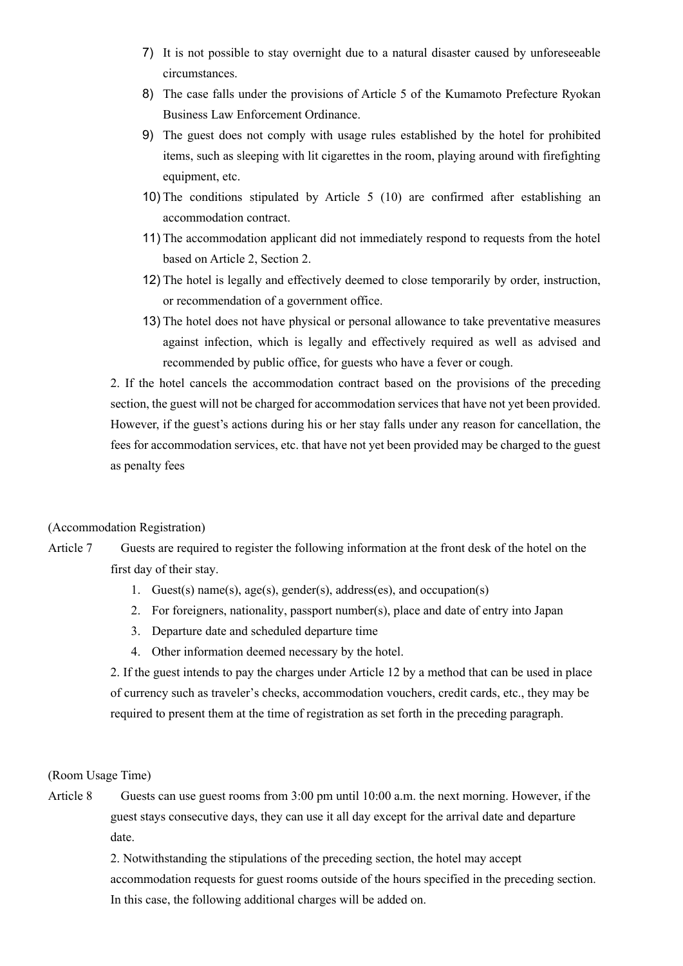- 7) It is not possible to stay overnight due to a natural disaster caused by unforeseeable circumstances.
- 8) The case falls under the provisions of Article 5 of the Kumamoto Prefecture Ryokan Business Law Enforcement Ordinance.
- 9) The guest does not comply with usage rules established by the hotel for prohibited items, such as sleeping with lit cigarettes in the room, playing around with firefighting equipment, etc.
- 10) The conditions stipulated by Article 5 (10) are confirmed after establishing an accommodation contract.
- 11) The accommodation applicant did not immediately respond to requests from the hotel based on Article 2, Section 2.
- 12) The hotel is legally and effectively deemed to close temporarily by order, instruction, or recommendation of a government office.
- 13) The hotel does not have physical or personal allowance to take preventative measures against infection, which is legally and effectively required as well as advised and recommended by public office, for guests who have a fever or cough.

2. If the hotel cancels the accommodation contract based on the provisions of the preceding section, the guest will not be charged for accommodation services that have not yet been provided. However, if the guest's actions during his or her stay falls under any reason for cancellation, the fees for accommodation services, etc. that have not yet been provided may be charged to the guest as penalty fees

## (Accommodation Registration)

- Article 7 Guests are required to register the following information at the front desk of the hotel on the first day of their stay.
	- 1. Guest(s) name(s), age(s), gender(s), address(es), and occupation(s)
	- 2. For foreigners, nationality, passport number(s), place and date of entry into Japan
	- 3. Departure date and scheduled departure time
	- 4. Other information deemed necessary by the hotel.

2. If the guest intends to pay the charges under Article 12 by a method that can be used in place of currency such as traveler's checks, accommodation vouchers, credit cards, etc., they may be required to present them at the time of registration as set forth in the preceding paragraph.

### (Room Usage Time)

Article 8 Guests can use guest rooms from 3:00 pm until 10:00 a.m. the next morning. However, if the guest stays consecutive days, they can use it all day except for the arrival date and departure date.

> 2. Notwithstanding the stipulations of the preceding section, the hotel may accept accommodation requests for guest rooms outside of the hours specified in the preceding section. In this case, the following additional charges will be added on.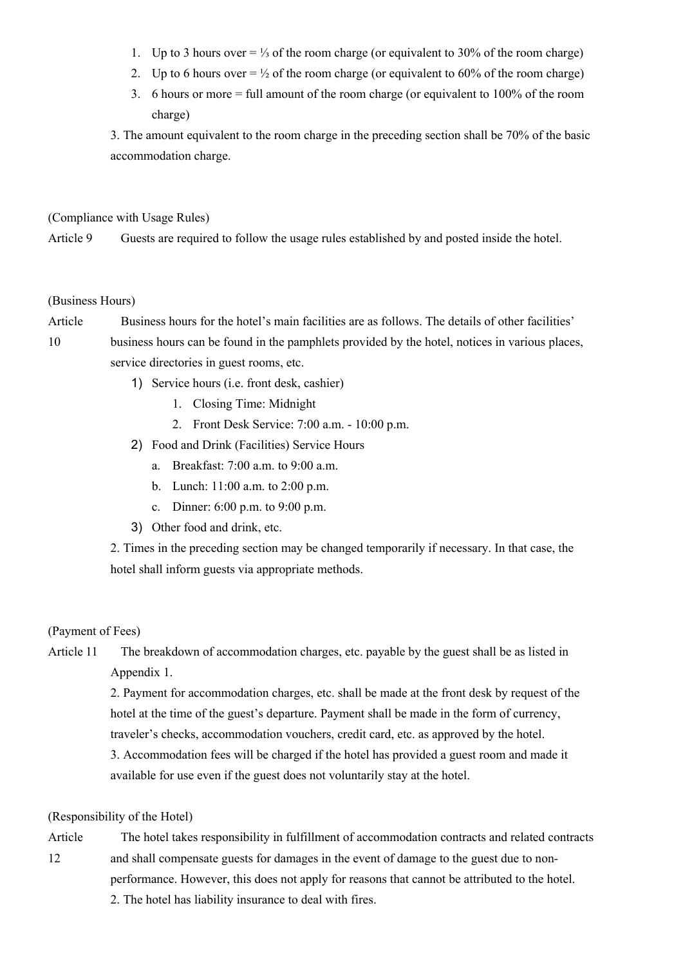- 1. Up to 3 hours over = ⅓ of the room charge (or equivalent to 30% of the room charge)
- 2. Up to 6 hours over  $= \frac{1}{2}$  of the room charge (or equivalent to 60% of the room charge)
- 3. 6 hours or more = full amount of the room charge (or equivalent to 100% of the room charge)

3. The amount equivalent to the room charge in the preceding section shall be 70% of the basic accommodation charge.

(Compliance with Usage Rules)

Article 9 Guests are required to follow the usage rules established by and posted inside the hotel.

### (Business Hours)

Article Business hours for the hotel's main facilities are as follows. The details of other facilities'

10 business hours can be found in the pamphlets provided by the hotel, notices in various places, service directories in guest rooms, etc.

- 1) Service hours (i.e. front desk, cashier)
	- 1. Closing Time: Midnight
	- 2. Front Desk Service: 7:00 a.m. 10:00 p.m.
- 2) Food and Drink (Facilities) Service Hours
	- a. Breakfast: 7:00 a.m. to 9:00 a.m.
	- b. Lunch: 11:00 a.m. to 2:00 p.m.
	- c. Dinner: 6:00 p.m. to 9:00 p.m.
- 3) Other food and drink, etc.

2. Times in the preceding section may be changed temporarily if necessary. In that case, the hotel shall inform guests via appropriate methods.

#### (Payment of Fees)

Article 11 The breakdown of accommodation charges, etc. payable by the guest shall be as listed in Appendix 1.

> 2. Payment for accommodation charges, etc. shall be made at the front desk by request of the hotel at the time of the guest's departure. Payment shall be made in the form of currency, traveler's checks, accommodation vouchers, credit card, etc. as approved by the hotel. 3. Accommodation fees will be charged if the hotel has provided a guest room and made it available for use even if the guest does not voluntarily stay at the hotel.

### (Responsibility of the Hotel)

Article 12 The hotel takes responsibility in fulfillment of accommodation contracts and related contracts and shall compensate guests for damages in the event of damage to the guest due to non-

performance. However, this does not apply for reasons that cannot be attributed to the hotel.

2. The hotel has liability insurance to deal with fires.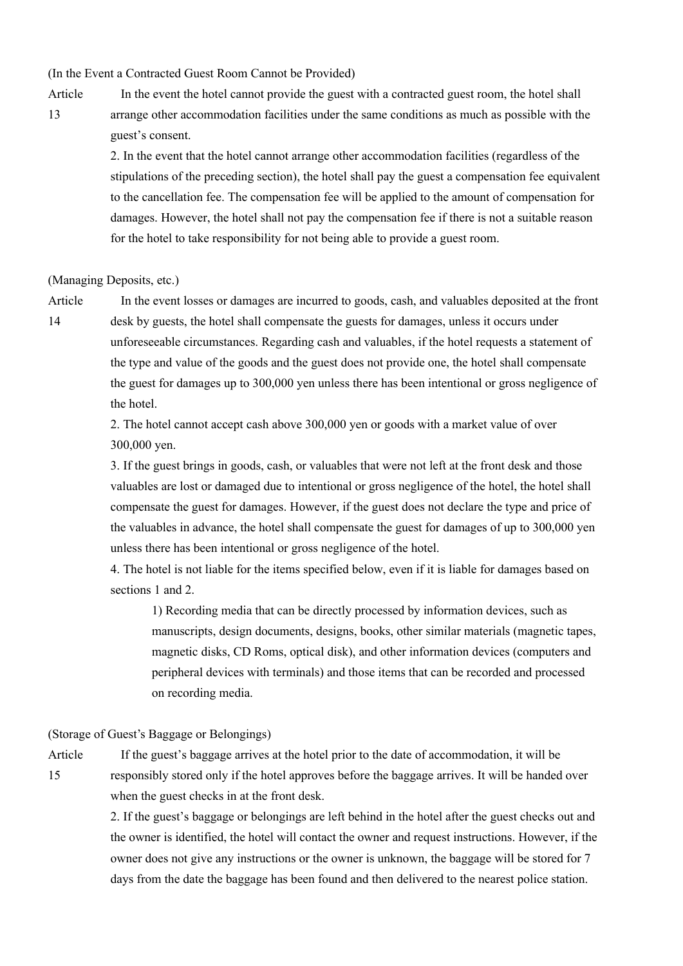(In the Event a Contracted Guest Room Cannot be Provided)

Article 13

In the event the hotel cannot provide the guest with a contracted guest room, the hotel shall arrange other accommodation facilities under the same conditions as much as possible with the guest's consent.

2. In the event that the hotel cannot arrange other accommodation facilities (regardless of the stipulations of the preceding section), the hotel shall pay the guest a compensation fee equivalent to the cancellation fee. The compensation fee will be applied to the amount of compensation for damages. However, the hotel shall not pay the compensation fee if there is not a suitable reason for the hotel to take responsibility for not being able to provide a guest room.

#### (Managing Deposits, etc.)

Article 14

In the event losses or damages are incurred to goods, cash, and valuables deposited at the front desk by guests, the hotel shall compensate the guests for damages, unless it occurs under unforeseeable circumstances. Regarding cash and valuables, if the hotel requests a statement of the type and value of the goods and the guest does not provide one, the hotel shall compensate the guest for damages up to 300,000 yen unless there has been intentional or gross negligence of the hotel.

2. The hotel cannot accept cash above 300,000 yen or goods with a market value of over 300,000 yen.

3. If the guest brings in goods, cash, or valuables that were not left at the front desk and those valuables are lost or damaged due to intentional or gross negligence of the hotel, the hotel shall compensate the guest for damages. However, if the guest does not declare the type and price of the valuables in advance, the hotel shall compensate the guest for damages of up to 300,000 yen unless there has been intentional or gross negligence of the hotel.

4. The hotel is not liable for the items specified below, even if it is liable for damages based on sections 1 and 2.

1) Recording media that can be directly processed by information devices, such as manuscripts, design documents, designs, books, other similar materials (magnetic tapes, magnetic disks, CD Roms, optical disk), and other information devices (computers and peripheral devices with terminals) and those items that can be recorded and processed on recording media.

(Storage of Guest's Baggage or Belongings)

15

Article

If the guest's baggage arrives at the hotel prior to the date of accommodation, it will be responsibly stored only if the hotel approves before the baggage arrives. It will be handed over when the guest checks in at the front desk.

2. If the guest's baggage or belongings are left behind in the hotel after the guest checks out and the owner is identified, the hotel will contact the owner and request instructions. However, if the owner does not give any instructions or the owner is unknown, the baggage will be stored for 7 days from the date the baggage has been found and then delivered to the nearest police station.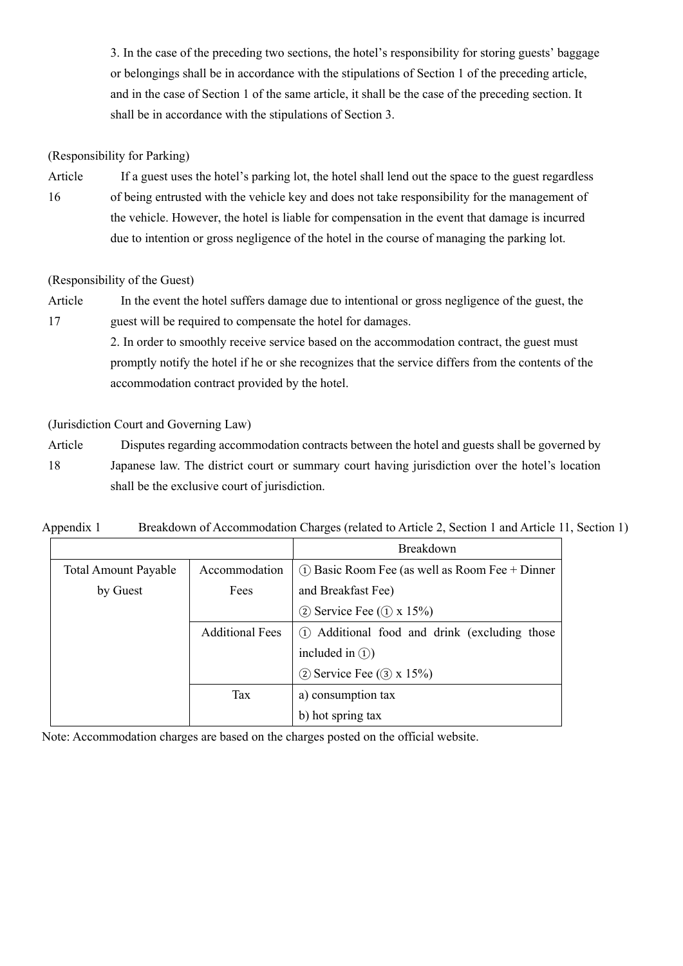3. In the case of the preceding two sections, the hotel's responsibility for storing guests' baggage or belongings shall be in accordance with the stipulations of Section 1 of the preceding article, and in the case of Section 1 of the same article, it shall be the case of the preceding section. It shall be in accordance with the stipulations of Section 3.

# (Responsibility for Parking)

Article 16 If a guest uses the hotel's parking lot, the hotel shall lend out the space to the guest regardless of being entrusted with the vehicle key and does not take responsibility for the management of the vehicle. However, the hotel is liable for compensation in the event that damage is incurred due to intention or gross negligence of the hotel in the course of managing the parking lot.

# (Responsibility of the Guest)

Article 17 In the event the hotel suffers damage due to intentional or gross negligence of the guest, the guest will be required to compensate the hotel for damages.

> 2. In order to smoothly receive service based on the accommodation contract, the guest must promptly notify the hotel if he or she recognizes that the service differs from the contents of the accommodation contract provided by the hotel.

(Jurisdiction Court and Governing Law)

Article 18 Disputes regarding accommodation contracts between the hotel and guests shall be governed by Japanese law. The district court or summary court having jurisdiction over the hotel's location shall be the exclusive court of jurisdiction.

# Appendix 1 Breakdown of Accommodation Charges (related to Article 2, Section 1 and Article 11, Section 1)

|                             |                        | Breakdown                                          |  |  |  |  |
|-----------------------------|------------------------|----------------------------------------------------|--|--|--|--|
| <b>Total Amount Payable</b> | Accommodation          | $(1)$ Basic Room Fee (as well as Room Fee + Dinner |  |  |  |  |
| by Guest                    | Fees                   | and Breakfast Fee)                                 |  |  |  |  |
|                             |                        | (2) Service Fee $(1) \times 15\%$                  |  |  |  |  |
|                             | <b>Additional Fees</b> | (1) Additional food and drink (excluding those     |  |  |  |  |
|                             |                        | included in $(1)$                                  |  |  |  |  |
|                             |                        | $(2)$ Service Fee $(3)$ x 15%)                     |  |  |  |  |
|                             | Tax                    | a) consumption tax                                 |  |  |  |  |
|                             |                        | b) hot spring tax                                  |  |  |  |  |

Note: Accommodation charges are based on the charges posted on the official website.